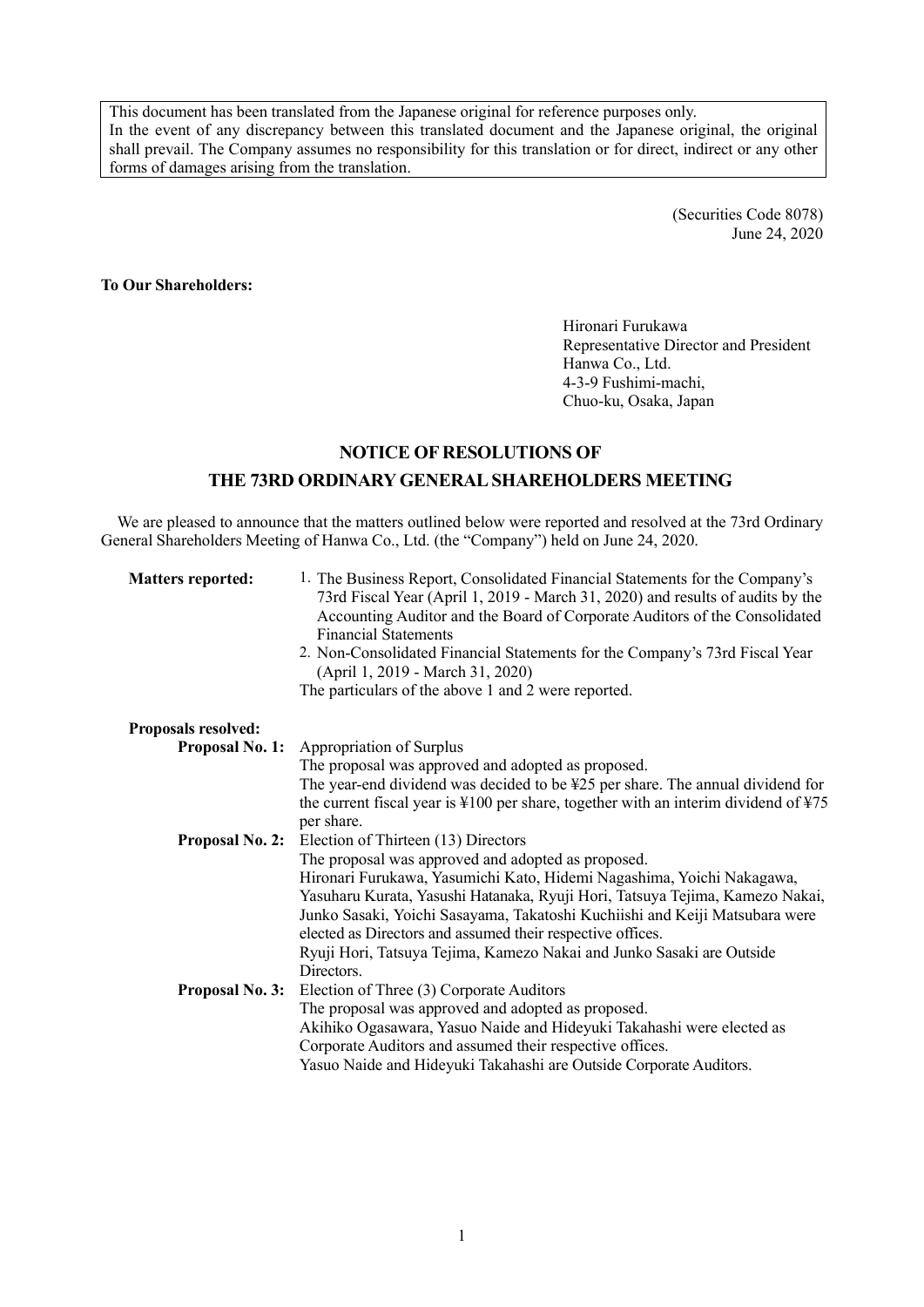This document has been translated from the Japanese original for reference purposes only. In the event of any discrepancy between this translated document and the Japanese original, the original shall prevail. The Company assumes no responsibility for this translation or for direct, indirect or any other forms of damages arising from the translation.

> (Securities Code 8078) June 24, 2020

## To Our Shareholders:

Hironari Furukawa Representative Director and President Hanwa Co., Ltd. 4-3-9 Fushimi-machi, Chuo-ku, Osaka, Japan

## NOTICE OF RESOLUTIONS OF THE 73RD ORDINARY GENERAL SHAREHOLDERS MEETING

We are pleased to announce that the matters outlined below were reported and resolved at the 73rd Ordinary General Shareholders Meeting of Hanwa Co., Ltd. (the "Company") held on June 24, 2020.

| <b>Matters reported:</b>   | 1. The Business Report, Consolidated Financial Statements for the Company's<br>73rd Fiscal Year (April 1, 2019 - March 31, 2020) and results of audits by the<br>Accounting Auditor and the Board of Corporate Auditors of the Consolidated<br><b>Financial Statements</b> |
|----------------------------|----------------------------------------------------------------------------------------------------------------------------------------------------------------------------------------------------------------------------------------------------------------------------|
|                            | 2. Non-Consolidated Financial Statements for the Company's 73rd Fiscal Year<br>(April 1, 2019 - March 31, 2020)                                                                                                                                                            |
|                            | The particulars of the above 1 and 2 were reported.                                                                                                                                                                                                                        |
| <b>Proposals resolved:</b> |                                                                                                                                                                                                                                                                            |
|                            | <b>Proposal No. 1:</b> Appropriation of Surplus                                                                                                                                                                                                                            |
|                            | The proposal was approved and adopted as proposed.                                                                                                                                                                                                                         |
|                            | The year-end dividend was decided to be ¥25 per share. The annual dividend for                                                                                                                                                                                             |
|                            | the current fiscal year is $\text{\#}100$ per share, together with an interim dividend of $\text{\#}75$                                                                                                                                                                    |
|                            | per share.                                                                                                                                                                                                                                                                 |
|                            | <b>Proposal No. 2:</b> Election of Thirteen (13) Directors                                                                                                                                                                                                                 |
|                            | The proposal was approved and adopted as proposed.                                                                                                                                                                                                                         |
|                            | Hironari Furukawa, Yasumichi Kato, Hidemi Nagashima, Yoichi Nakagawa,                                                                                                                                                                                                      |
|                            | Yasuharu Kurata, Yasushi Hatanaka, Ryuji Hori, Tatsuya Tejima, Kamezo Nakai,                                                                                                                                                                                               |
|                            | Junko Sasaki, Yoichi Sasayama, Takatoshi Kuchiishi and Keiji Matsubara were                                                                                                                                                                                                |
|                            | elected as Directors and assumed their respective offices.                                                                                                                                                                                                                 |
|                            | Ryuji Hori, Tatsuya Tejima, Kamezo Nakai and Junko Sasaki are Outside                                                                                                                                                                                                      |
|                            | Directors.                                                                                                                                                                                                                                                                 |
| <b>Proposal No. 3:</b>     | Election of Three (3) Corporate Auditors                                                                                                                                                                                                                                   |
|                            | The proposal was approved and adopted as proposed.                                                                                                                                                                                                                         |
|                            | Akihiko Ogasawara, Yasuo Naide and Hideyuki Takahashi were elected as                                                                                                                                                                                                      |
|                            | Corporate Auditors and assumed their respective offices.                                                                                                                                                                                                                   |
|                            | Yasuo Naide and Hideyuki Takahashi are Outside Corporate Auditors.                                                                                                                                                                                                         |